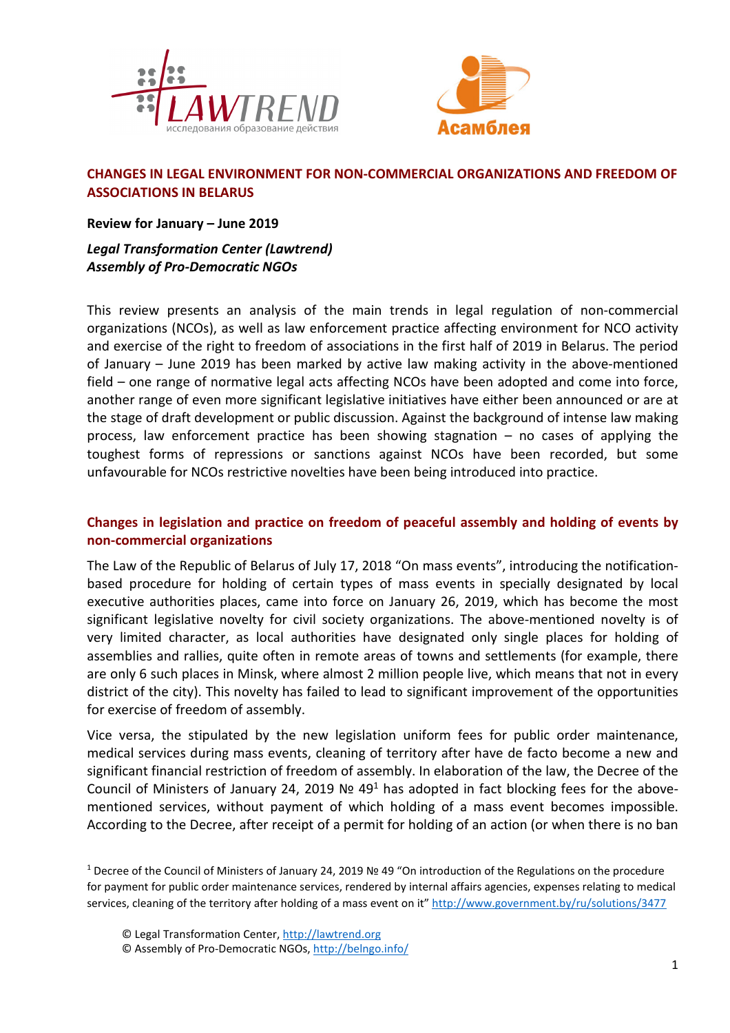



# **CHANGES IN LEGAL ENVIRONMENT FOR NON-COMMERCIAL ORGANIZATIONS AND FREEDOM OF ASSOCIATIONS IN BELARUS**

**Review for January – June 2019** 

*Legal Transformation Center (Lawtrend) Assembly of Pro-Democratic NGOs*

This review presents an analysis of the main trends in legal regulation of non-commercial organizations (NCOs), as well as law enforcement practice affecting environment for NCO activity and exercise of the right to freedom of associations in the first half of 2019 in Belarus. The period of January – June 2019 has been marked by active law making activity in the above-mentioned field – one range of normative legal acts affecting NCOs have been adopted and come into force, another range of even more significant legislative initiatives have either been announced or are at the stage of draft development or public discussion. Against the background of intense law making process, law enforcement practice has been showing stagnation – no cases of applying the toughest forms of repressions or sanctions against NCOs have been recorded, but some unfavourable for NCOs restrictive novelties have been being introduced into practice.

# **Changes in legislation and practice on freedom of peaceful assembly and holding of events by non-commercial organizations**

The Law of the Republic of Belarus of July 17, 2018 "On mass events", introducing the notificationbased procedure for holding of certain types of mass events in specially designated by local executive authorities places, came into force on January 26, 2019, which has become the most significant legislative novelty for civil society organizations. The above-mentioned novelty is of very limited character, as local authorities have designated only single places for holding of assemblies and rallies, quite often in remote areas of towns and settlements (for example, there are only 6 such places in Minsk, where almost 2 million people live, which means that not in every district of the city). This novelty has failed to lead to significant improvement of the opportunities for exercise of freedom of assembly.

Vice versa, the stipulated by the new legislation uniform fees for public order maintenance, medical services during mass events, cleaning of territory after have de facto become a new and significant financial restriction of freedom of assembly. In elaboration of the law, the Decree of the Council of Ministers of January 24, 2019 Nº 49<sup>1</sup> has adopted in fact blocking fees for the abovementioned services, without payment of which holding of a mass event becomes impossible. According to the Decree, after receipt of a permit for holding of an action (or when there is no ban

1 Decree of the Council of Ministers of January 24, 2019 № 49 "On introduction of the Regulations on the procedure for payment for public order maintenance services, rendered by internal affairs agencies, expenses relating to medical services, cleaning of the territory after holding of a mass event on it" http://www.government.by/ru/solutions/3477

<sup>©</sup> Legal Transformation Center, http://lawtrend.org

<sup>©</sup> Assembly of Pro-Democratic NGOs, http://belngo.info/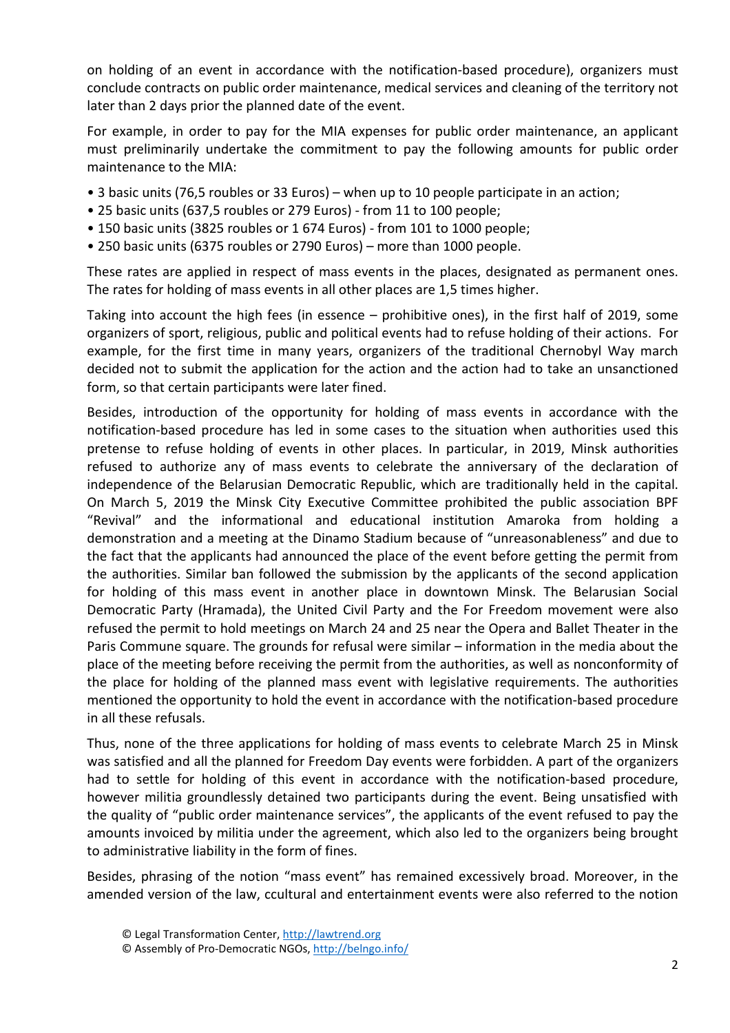on holding of an event in accordance with the notification-based procedure), organizers must conclude contracts on public order maintenance, medical services and cleaning of the territory not later than 2 days prior the planned date of the event.

For example, in order to pay for the MIA expenses for public order maintenance, an applicant must preliminarily undertake the commitment to pay the following amounts for public order maintenance to the MIA:

- 3 basic units (76,5 roubles or 33 Euros) when up to 10 people participate in an action;
- 25 basic units (637,5 roubles or 279 Euros) from 11 to 100 people;
- 150 basic units (3825 roubles or 1 674 Euros) from 101 to 1000 people;
- 250 basic units (6375 roubles or 2790 Euros) more than 1000 people.

These rates are applied in respect of mass events in the places, designated as permanent ones. The rates for holding of mass events in all other places are 1,5 times higher.

Taking into account the high fees (in essence – prohibitive ones), in the first half of 2019, some organizers of sport, religious, public and political events had to refuse holding of their actions. For example, for the first time in many years, organizers of the traditional Chernobyl Way march decided not to submit the application for the action and the action had to take an unsanctioned form, so that certain participants were later fined.

Besides, introduction of the opportunity for holding of mass events in accordance with the notification-based procedure has led in some cases to the situation when authorities used this pretense to refuse holding of events in other places. In particular, in 2019, Minsk authorities refused to authorize any of mass events to celebrate the anniversary of the declaration of independence of the Belarusian Democratic Republic, which are traditionally held in the capital. On March 5, 2019 the Minsk City Executive Committee prohibited the public association BPF "Revival" and the informational and educational institution Amaroka from holding a demonstration and a meeting at the Dinamo Stadium because of "unreasonableness" and due to the fact that the applicants had announced the place of the event before getting the permit from the authorities. Similar ban followed the submission by the applicants of the second application for holding of this mass event in another place in downtown Minsk. The Belarusian Social Democratic Party (Hramada), the United Civil Party and the For Freedom movement were also refused the permit to hold meetings on March 24 and 25 near the Opera and Ballet Theater in the Paris Commune square. The grounds for refusal were similar – information in the media about the place of the meeting before receiving the permit from the authorities, as well as nonconformity of the place for holding of the planned mass event with legislative requirements. The authorities mentioned the opportunity to hold the event in accordance with the notification-based procedure in all these refusals.

Thus, none of the three applications for holding of mass events to celebrate March 25 in Minsk was satisfied and all the planned for Freedom Day events were forbidden. A part of the organizers had to settle for holding of this event in accordance with the notification-based procedure, however militia groundlessly detained two participants during the event. Being unsatisfied with the quality of "public order maintenance services", the applicants of the event refused to pay the amounts invoiced by militia under the agreement, which also led to the organizers being brought to administrative liability in the form of fines.

Besides, phrasing of the notion "mass event" has remained excessively broad. Moreover, in the amended version of the law, сcultural and entertainment events were also referred to the notion

<sup>©</sup> Legal Transformation Center, http://lawtrend.org

<sup>©</sup> Assembly of Pro-Democratic NGOs, http://belngo.info/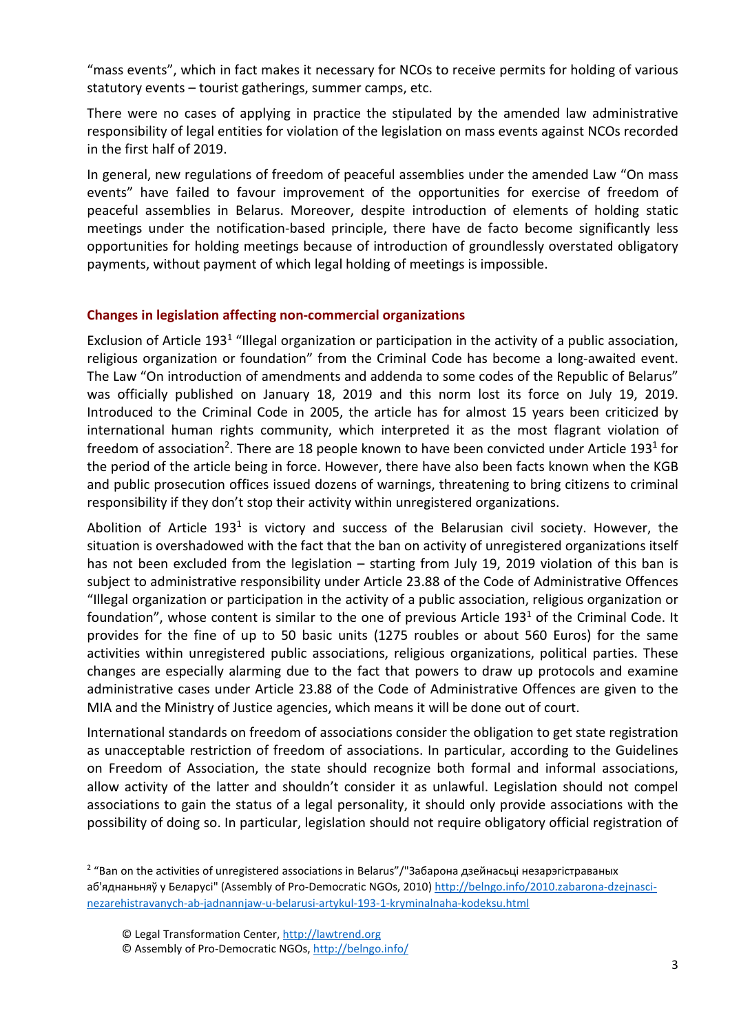"mass events", which in fact makes it necessary for NCOs to receive permits for holding of various statutory events – tourist gatherings, summer camps, etc.

There were no cases of applying in practice the stipulated by the amended law administrative responsibility of legal entities for violation of the legislation on mass events against NCOs recorded in the first half of 2019.

In general, new regulations of freedom of peaceful assemblies under the amended Law "On mass events" have failed to favour improvement of the opportunities for exercise of freedom of peaceful assemblies in Belarus. Moreover, despite introduction of elements of holding static meetings under the notification-based principle, there have de facto become significantly less opportunities for holding meetings because of introduction of groundlessly overstated obligatory payments, without payment of which legal holding of meetings is impossible.

## **Changes in legislation affecting non-commercial organizations**

Exclusion of Article 193<sup>1</sup> "Illegal organization or participation in the activity of a public association, religious organization or foundation" from the Criminal Code has become a long-awaited event. The Law "On introduction of amendments and addenda to some codes of the Republic of Belarus" was officially published on January 18, 2019 and this norm lost its force on July 19, 2019. Introduced to the Criminal Code in 2005, the article has for almost 15 years been criticized by international human rights community, which interpreted it as the most flagrant violation of freedom of association<sup>2</sup>. There are 18 people known to have been convicted under Article 193<sup>1</sup> for the period of the article being in force. However, there have also been facts known when the KGB and public prosecution offices issued dozens of warnings, threatening to bring citizens to criminal responsibility if they don't stop their activity within unregistered organizations.

Abolition of Article 193<sup>1</sup> is victory and success of the Belarusian civil society. However, the situation is overshadowed with the fact that the ban on activity of unregistered organizations itself has not been excluded from the legislation – starting from July 19, 2019 violation of this ban is subject to administrative responsibility under Article 23.88 of the Code of Administrative Offences "Illegal organization or participation in the activity of a public association, religious organization or foundation", whose content is similar to the one of previous Article 193<sup>1</sup> of the Criminal Code. It provides for the fine of up to 50 basic units (1275 roubles or about 560 Euros) for the same activities within unregistered public associations, religious organizations, political parties. These changes are especially alarming due to the fact that powers to draw up protocols and examine administrative cases under Article 23.88 of the Code of Administrative Offences are given to the MIA and the Ministry of Justice agencies, which means it will be done out of court.

International standards on freedom of associations consider the obligation to get state registration as unacceptable restriction of freedom of associations. In particular, according to the Guidelines on Freedom of Association, the state should recognize both formal and informal associations, allow activity of the latter and shouldn't consider it as unlawful. Legislation should not compel associations to gain the status of a legal personality, it should only provide associations with the possibility of doing so. In particular, legislation should not require obligatory official registration of

<sup>2</sup> "Ban on the activities of unregistered associations in Belarus"/"Забарона дзейнасьці незарэгістраваных аб'яднаньняў у Беларусі" (Assembly of Pro-Democratic NGOs, 2010) http://belngo.info/2010.zabarona-dzejnascinezarehistravanych-ab-jadnannjaw-u-belarusi-artykul-193-1-kryminalnaha-kodeksu.html

<sup>©</sup> Assembly of Pro-Democratic NGOs, http://belngo.info/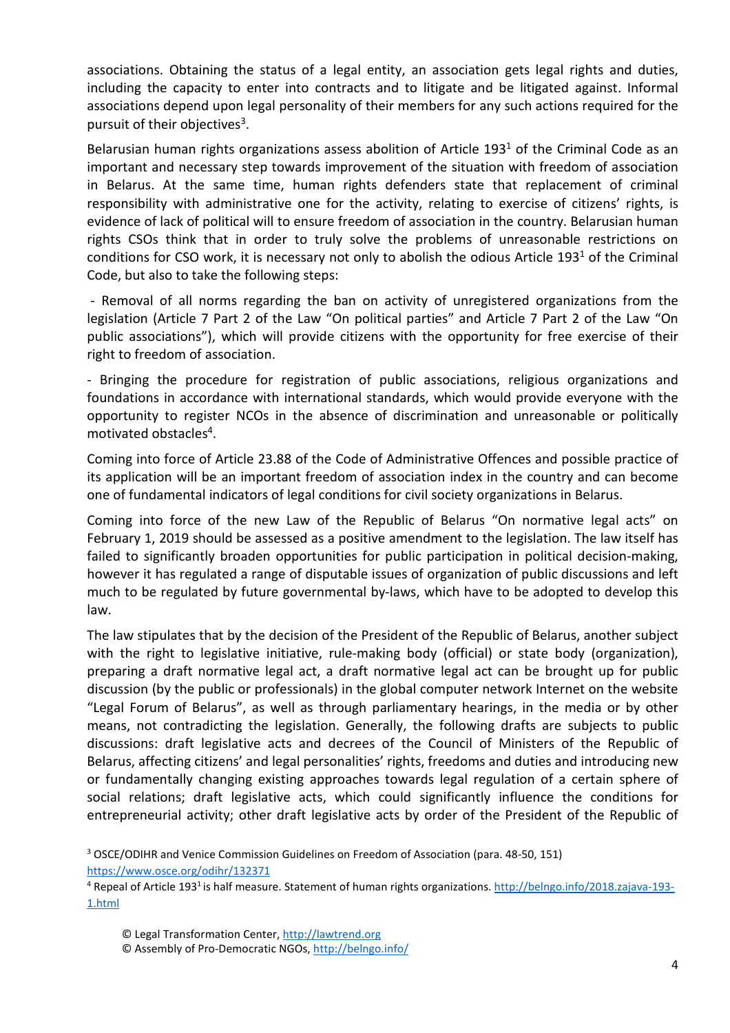associations. Obtaining the status of a legal entity, an association gets legal rights and duties, including the capacity to enter into contracts and to litigate and be litigated against. Informal associations depend upon legal personality of their members for any such actions required for the pursuit of their objectives<sup>3</sup>.

Belarusian human rights organizations assess abolition of Article 193<sup>1</sup> of the Criminal Code as an important and necessary step towards improvement of the situation with freedom of association in Belarus. At the same time, human rights defenders state that replacement of criminal responsibility with administrative one for the activity, relating to exercise of citizens' rights, is evidence of lack of political will to ensure freedom of association in the country. Belarusian human rights CSOs think that in order to truly solve the problems of unreasonable restrictions on conditions for CSO work, it is necessary not only to abolish the odious Article 193<sup>1</sup> of the Criminal Code, but also to take the following steps:

 - Removal of all norms regarding the ban on activity of unregistered organizations from the legislation (Article 7 Part 2 of the Law "On political parties" and Article 7 Part 2 of the Law "On public associations"), which will provide citizens with the opportunity for free exercise of their right to freedom of association.

- Bringing the procedure for registration of public associations, religious organizations and foundations in accordance with international standards, which would provide everyone with the opportunity to register NCOs in the absence of discrimination and unreasonable or politically motivated obstacles<sup>4</sup>.

Coming into force of Article 23.88 of the Code of Administrative Offences and possible practice of its application will be an important freedom of association index in the country and can become one of fundamental indicators of legal conditions for civil society organizations in Belarus.

Coming into force of the new Law of the Republic of Belarus "On normative legal acts" on February 1, 2019 should be assessed as a positive amendment to the legislation. The law itself has failed to significantly broaden opportunities for public participation in political decision-making, however it has regulated a range of disputable issues of organization of public discussions and left much to be regulated by future governmental by-laws, which have to be adopted to develop this law.

The law stipulates that by the decision of the President of the Republic of Belarus, another subject with the right to legislative initiative, rule-making body (official) or state body (organization), preparing a draft normative legal act, a draft normative legal act can be brought up for public discussion (by the public or professionals) in the global computer network Internet on the website "Legal Forum of Belarus", as well as through parliamentary hearings, in the media or by other means, not contradicting the legislation. Generally, the following drafts are subjects to public discussions: draft legislative acts and decrees of the Council of Ministers of the Republic of Belarus, affecting citizens' and legal personalities' rights, freedoms and duties and introducing new or fundamentally changing existing approaches towards legal regulation of a certain sphere of social relations; draft legislative acts, which could significantly influence the conditions for entrepreneurial activity; other draft legislative acts by order of the President of the Republic of

<sup>3</sup> OSCE/ODIHR and Venice Commission Guidelines on Freedom of Association (para. 48-50, 151) https://www.osce.org/odihr/132371

<sup>&</sup>lt;sup>4</sup> Repeal of Article 193<sup>1</sup> is half measure. Statement of human rights organizations. http://belngo.info/2018.zajava-193-1.html

<sup>©</sup> Legal Transformation Center, http://lawtrend.org

<sup>©</sup> Assembly of Pro-Democratic NGOs, http://belngo.info/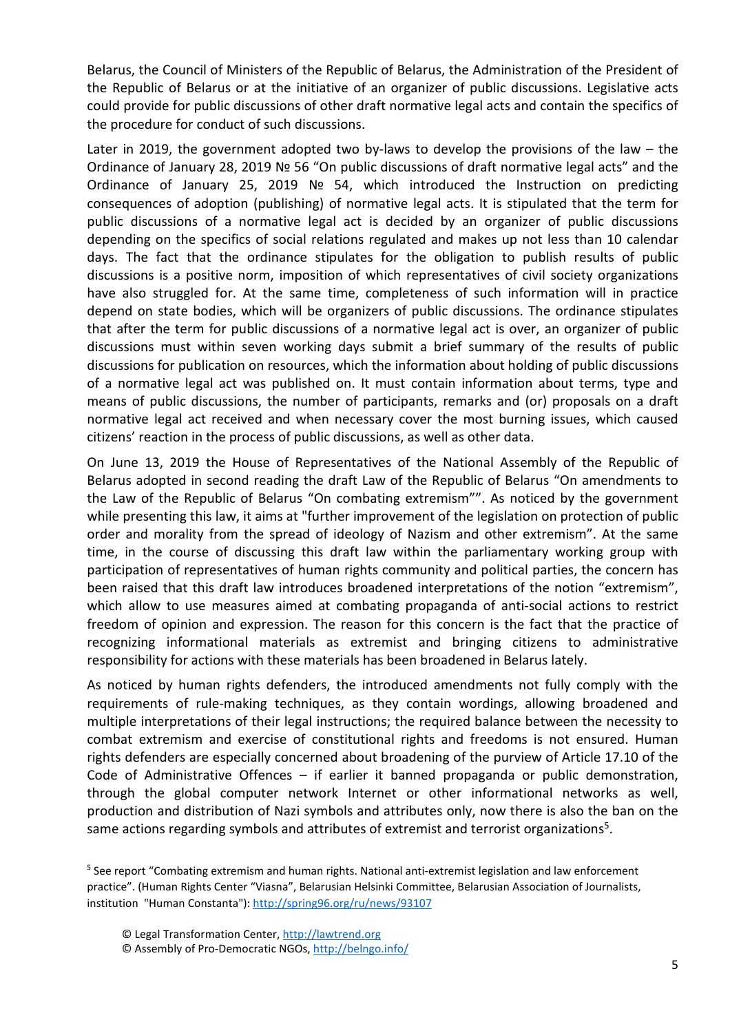Belarus, the Council of Ministers of the Republic of Belarus, the Administration of the President of the Republic of Belarus or at the initiative of an organizer of public discussions. Legislative acts could provide for public discussions of other draft normative legal acts and contain the specifics of the procedure for conduct of such discussions.

Later in 2019, the government adopted two by-laws to develop the provisions of the law – the Ordinance of January 28, 2019 № 56 "On public discussions of draft normative legal acts" and the Ordinance of January 25, 2019 № 54, which introduced the Instruction on predicting consequences of adoption (publishing) of normative legal acts. It is stipulated that the term for public discussions of a normative legal act is decided by an organizer of public discussions depending on the specifics of social relations regulated and makes up not less than 10 calendar days. The fact that the ordinance stipulates for the obligation to publish results of public discussions is a positive norm, imposition of which representatives of civil society organizations have also struggled for. At the same time, completeness of such information will in practice depend on state bodies, which will be organizers of public discussions. The ordinance stipulates that after the term for public discussions of a normative legal act is over, an organizer of public discussions must within seven working days submit a brief summary of the results of public discussions for publication on resources, which the information about holding of public discussions of a normative legal act was published on. It must contain information about terms, type and means of public discussions, the number of participants, remarks and (or) proposals on a draft normative legal act received and when necessary cover the most burning issues, which caused citizens' reaction in the process of public discussions, as well as other data.

On June 13, 2019 the House of Representatives of the National Assembly of the Republic of Belarus adopted in second reading the draft Law of the Republic of Belarus "On amendments to the Law of the Republic of Belarus "On combating extremism"". As noticed by the government while presenting this law, it aims at "further improvement of the legislation on protection of public order and morality from the spread of ideology of Nazism and other extremism". At the same time, in the course of discussing this draft law within the parliamentary working group with participation of representatives of human rights community and political parties, the concern has been raised that this draft law introduces broadened interpretations of the notion "extremism", which allow to use measures aimed at combating propaganda of anti-social actions to restrict freedom of opinion and expression. The reason for this concern is the fact that the practice of recognizing informational materials as extremist and bringing citizens to administrative responsibility for actions with these materials has been broadened in Belarus lately.

As noticed by human rights defenders, the introduced amendments not fully comply with the requirements of rule-making techniques, as they contain wordings, allowing broadened and multiple interpretations of their legal instructions; the required balance between the necessity to combat extremism and exercise of constitutional rights and freedoms is not ensured. Human rights defenders are especially concerned about broadening of the purview of Article 17.10 of the Code of Administrative Offences – if earlier it banned propaganda or public demonstration, through the global computer network Internet or other informational networks as well, production and distribution of Nazi symbols and attributes only, now there is also the ban on the same actions regarding symbols and attributes of extremist and terrorist organizations<sup>5</sup>.

<sup>5</sup> See report "Combating extremism and human rights. National anti-extremist legislation and law enforcement practice". (Human Rights Center "Viasna", Belarusian Helsinki Committee, Belarusian Association of Journalists, institution "Human Cоnstanta"): http://spring96.org/ru/news/93107

© Legal Transformation Center, http://lawtrend.org © Assembly of Pro-Democratic NGOs, http://belngo.info/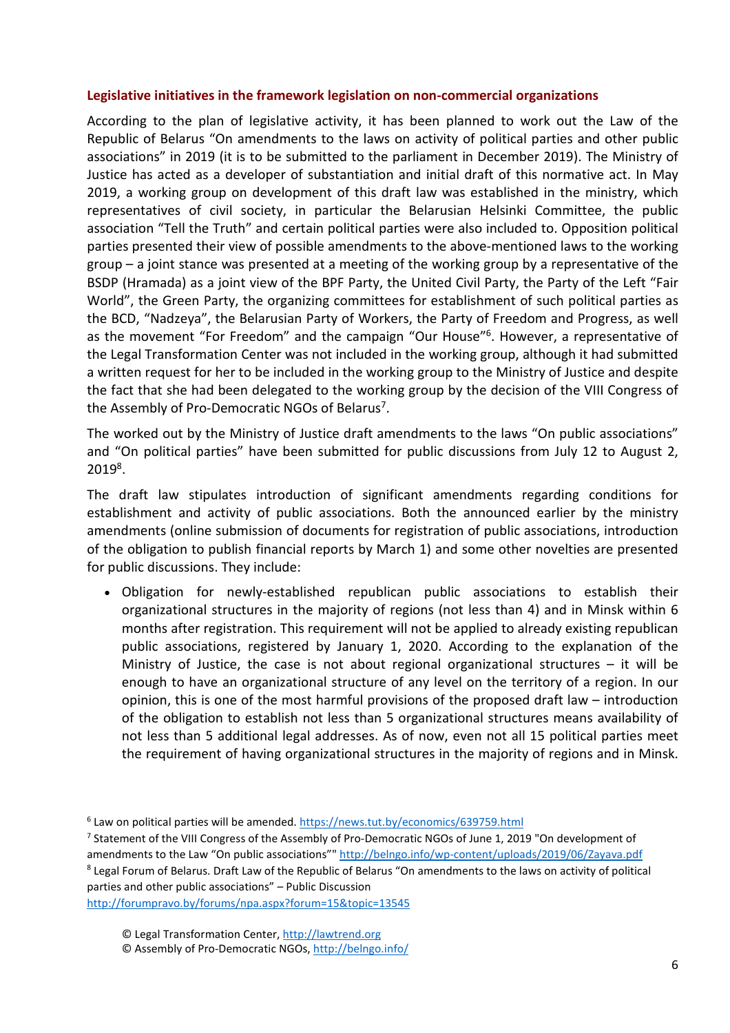#### **Legislative initiatives in the framework legislation on non-commercial organizations**

According to the plan of legislative activity, it has been planned to work out the Law of the Republic of Belarus "On amendments to the laws on activity of political parties and other public associations" in 2019 (it is to be submitted to the parliament in December 2019). The Ministry of Justice has acted as a developer of substantiation and initial draft of this normative act. In May 2019, a working group on development of this draft law was established in the ministry, which representatives of civil society, in particular the Belarusian Helsinki Committee, the public association "Tell the Truth" and certain political parties were also included to. Opposition political parties presented their view of possible amendments to the above-mentioned laws to the working group – a joint stance was presented at a meeting of the working group by a representative of the BSDP (Hramada) as a joint view of the BPF Party, the United Civil Party, the Party of the Left "Fair World", the Green Party, the organizing committees for establishment of such political parties as the BCD, "Nadzeya", the Belarusian Party of Workers, the Party of Freedom and Progress, as well as the movement "For Freedom" and the campaign "Our House"<sup>6</sup>. However, a representative of the Legal Transformation Center was not included in the working group, although it had submitted a written request for her to be included in the working group to the Ministry of Justice and despite the fact that she had been delegated to the working group by the decision of the VIII Congress of the Assembly of Pro-Democratic NGOs of Belarus<sup>7</sup>.

The worked out by the Ministry of Justice draft amendments to the laws "On public associations" and "On political parties" have been submitted for public discussions from July 12 to August 2, 2019<sup>8</sup> .

The draft law stipulates introduction of significant amendments regarding conditions for establishment and activity of public associations. Both the announced earlier by the ministry amendments (online submission of documents for registration of public associations, introduction of the obligation to publish financial reports by March 1) and some other novelties are presented for public discussions. They include:

 Obligation for newly-established republican public associations to establish their organizational structures in the majority of regions (not less than 4) and in Minsk within 6 months after registration. This requirement will not be applied to already existing republican public associations, registered by January 1, 2020. According to the explanation of the Ministry of Justice, the case is not about regional organizational structures  $-$  it will be enough to have an organizational structure of any level on the territory of a region. In our opinion, this is one of the most harmful provisions of the proposed draft law – introduction of the obligation to establish not less than 5 organizational structures means availability of not less than 5 additional legal addresses. As of now, even not all 15 political parties meet the requirement of having organizational structures in the majority of regions and in Minsk.

<sup>7</sup> Statement of the VIII Congress of the Assembly of Pro-Democratic NGOs of June 1, 2019 "On development of amendments to the Law "On public associations"" http://belngo.info/wp-content/uploads/2019/06/Zayava.pdf <sup>8</sup> Legal Forum of Belarus. Draft Law of the Republic of Belarus "On amendments to the laws on activity of political

parties and other public associations" – Public Discussion

http://forumpravo.by/forums/npa.aspx?forum=15&topic=13545

<sup>&</sup>lt;sup>6</sup> Law on political parties will be amended. https://news.tut.by/economics/639759.html

<sup>©</sup> Assembly of Pro-Democratic NGOs, http://belngo.info/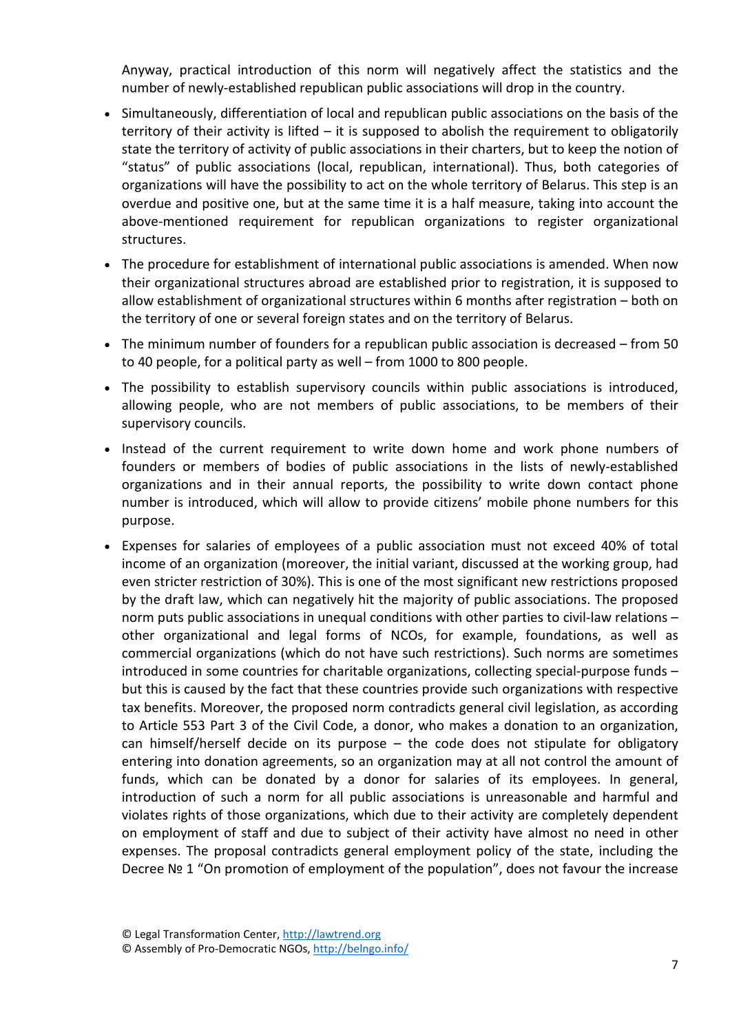Anyway, practical introduction of this norm will negatively affect the statistics and the number of newly-established republican public associations will drop in the country.

- Simultaneously, differentiation of local and republican public associations on the basis of the territory of their activity is lifted – it is supposed to abolish the requirement to obligatorily state the territory of activity of public associations in their charters, but to keep the notion of "status" of public associations (local, republican, international). Thus, both categories of organizations will have the possibility to act on the whole territory of Belarus. This step is an overdue and positive one, but at the same time it is a half measure, taking into account the above-mentioned requirement for republican organizations to register organizational structures.
- The procedure for establishment of international public associations is amended. When now their organizational structures abroad are established prior to registration, it is supposed to allow establishment of organizational structures within 6 months after registration – both on the territory of one or several foreign states and on the territory of Belarus.
- The minimum number of founders for a republican public association is decreased from 50 to 40 people, for a political party as well – from 1000 to 800 people.
- The possibility to establish supervisory councils within public associations is introduced, allowing people, who are not members of public associations, to be members of their supervisory councils.
- Instead of the current requirement to write down home and work phone numbers of founders or members of bodies of public associations in the lists of newly-established organizations and in their annual reports, the possibility to write down contact phone number is introduced, which will allow to provide citizens' mobile phone numbers for this purpose.
- Expenses for salaries of employees of a public association must not exceed 40% of total income of an organization (moreover, the initial variant, discussed at the working group, had even stricter restriction of 30%). This is one of the most significant new restrictions proposed by the draft law, which can negatively hit the majority of public associations. The proposed norm puts public associations in unequal conditions with other parties to civil-law relations – other organizational and legal forms of NCOs, for example, foundations, as well as commercial organizations (which do not have such restrictions). Such norms are sometimes introduced in some countries for charitable organizations, collecting special-purpose funds – but this is caused by the fact that these countries provide such organizations with respective tax benefits. Moreover, the proposed norm contradicts general civil legislation, as according to Article 553 Part 3 of the Civil Code, a donor, who makes a donation to an organization, can himself/herself decide on its purpose – the code does not stipulate for obligatory entering into donation agreements, so an organization may at all not control the amount of funds, which can be donated by a donor for salaries of its employees. In general, introduction of such a norm for all public associations is unreasonable and harmful and violates rights of those organizations, which due to their activity are completely dependent on employment of staff and due to subject of their activity have almost no need in other expenses. The proposal contradicts general employment policy of the state, including the Decree № 1 "On promotion of employment of the population", does not favour the increase

<sup>©</sup> Assembly of Pro-Democratic NGOs, http://belngo.info/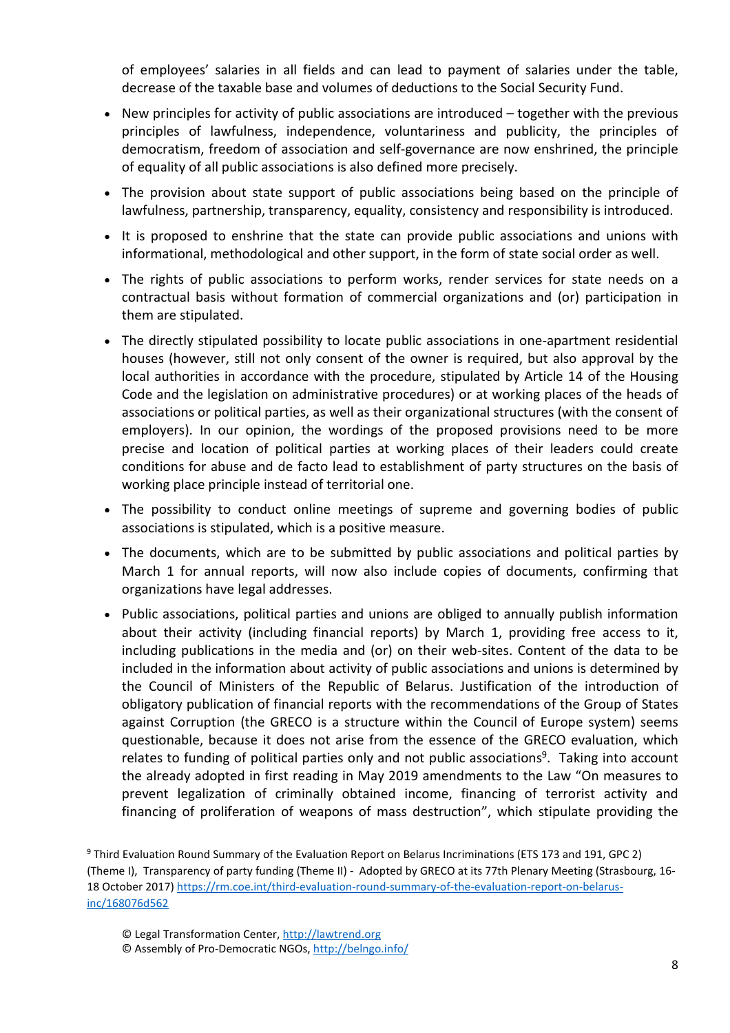of employees' salaries in all fields and can lead to payment of salaries under the table, decrease of the taxable base and volumes of deductions to the Social Security Fund.

- New principles for activity of public associations are introduced together with the previous principles of lawfulness, independence, voluntariness and publicity, the principles of democratism, freedom of association and self-governance are now enshrined, the principle of equality of all public associations is also defined more precisely.
- The provision about state support of public associations being based on the principle of lawfulness, partnership, transparency, equality, consistency and responsibility is introduced.
- It is proposed to enshrine that the state can provide public associations and unions with informational, methodological and other support, in the form of state social order as well.
- The rights of public associations to perform works, render services for state needs on a contractual basis without formation of commercial organizations and (or) participation in them are stipulated.
- The directly stipulated possibility to locate public associations in one-apartment residential houses (however, still not only consent of the owner is required, but also approval by the local authorities in accordance with the procedure, stipulated by Article 14 of the Housing Code and the legislation on administrative procedures) or at working places of the heads of associations or political parties, as well as their organizational structures (with the consent of employers). In our opinion, the wordings of the proposed provisions need to be more precise and location of political parties at working places of their leaders could create conditions for abuse and de facto lead to establishment of party structures on the basis of working place principle instead of territorial one.
- The possibility to conduct online meetings of supreme and governing bodies of public associations is stipulated, which is a positive measure.
- The documents, which are to be submitted by public associations and political parties by March 1 for annual reports, will now also include copies of documents, confirming that organizations have legal addresses.
- Public associations, political parties and unions are obliged to annually publish information about their activity (including financial reports) by March 1, providing free access to it, including publications in the media and (or) on their web-sites. Content of the data to be included in the information about activity of public associations and unions is determined by the Council of Ministers of the Republic of Belarus. Justification of the introduction of obligatory publication of financial reports with the recommendations of the Group of States against Corruption (the GRECO is a structure within the Council of Europe system) seems questionable, because it does not arise from the essence of the GRECO evaluation, which relates to funding of political parties only and not public associations<sup>9</sup>. Taking into account the already adopted in first reading in May 2019 amendments to the Law "On measures to prevent legalization of criminally obtained income, financing of terrorist activity and financing of proliferation of weapons of mass destruction", which stipulate providing the

<sup>&</sup>lt;sup>9</sup> Third Evaluation Round Summary of the Evaluation Report on Belarus Incriminations (ETS 173 and 191, GPC 2) (Theme I), Transparency of party funding (Theme II) - Adopted by GRECO at its 77th Plenary Meeting (Strasbourg, 16- 18 October 2017) https://rm.coe.int/third-evaluation-round-summary-of-the-evaluation-report-on-belarusinc/168076d562

<sup>©</sup> Legal Transformation Center, http://lawtrend.org

<sup>©</sup> Assembly of Pro-Democratic NGOs, http://belngo.info/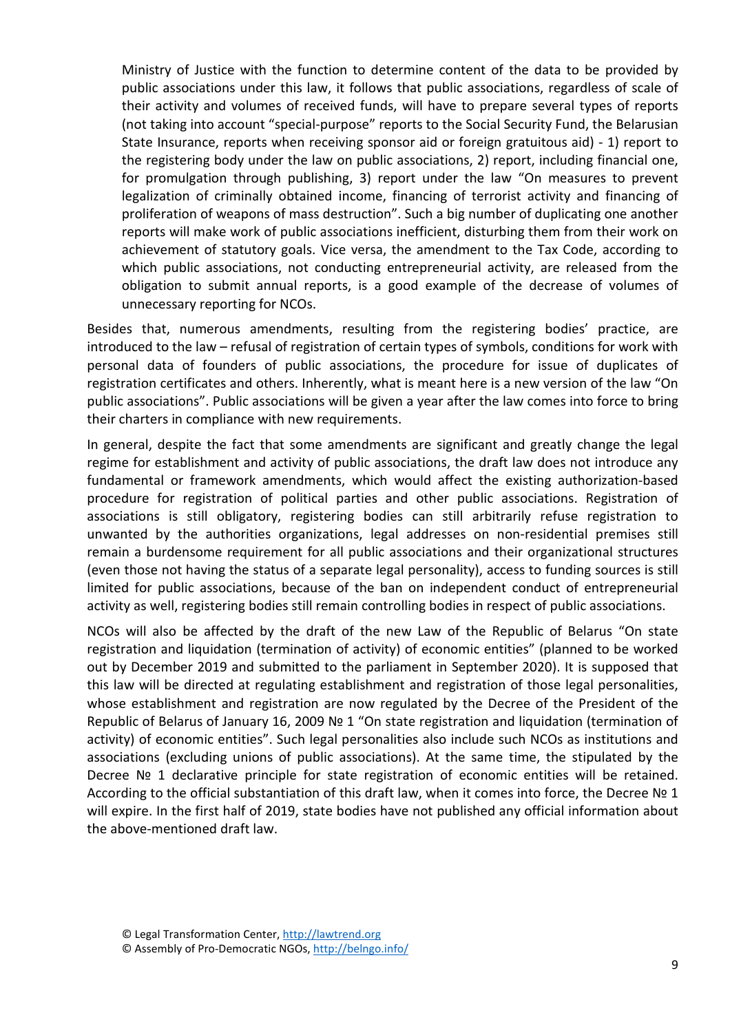Ministry of Justice with the function to determine content of the data to be provided by public associations under this law, it follows that public associations, regardless of scale of their activity and volumes of received funds, will have to prepare several types of reports (not taking into account "special-purpose" reports to the Social Security Fund, the Belarusian State Insurance, reports when receiving sponsor aid or foreign gratuitous aid) - 1) report to the registering body under the law on public associations, 2) report, including financial one, for promulgation through publishing, 3) report under the law "On measures to prevent legalization of criminally obtained income, financing of terrorist activity and financing of proliferation of weapons of mass destruction". Such a big number of duplicating one another reports will make work of public associations inefficient, disturbing them from their work on achievement of statutory goals. Vice versa, the amendment to the Tax Code, according to which public associations, not conducting entrepreneurial activity, are released from the obligation to submit annual reports, is a good example of the decrease of volumes of unnecessary reporting for NCOs.

Besides that, numerous amendments, resulting from the registering bodies' practice, are introduced to the law – refusal of registration of certain types of symbols, conditions for work with personal data of founders of public associations, the procedure for issue of duplicates of registration certificates and others. Inherently, what is meant here is a new version of the law "On public associations". Public associations will be given a year after the law comes into force to bring their charters in compliance with new requirements.

In general, despite the fact that some amendments are significant and greatly change the legal regime for establishment and activity of public associations, the draft law does not introduce any fundamental or framework amendments, which would affect the existing authorization-based procedure for registration of political parties and other public associations. Registration of associations is still obligatory, registering bodies can still arbitrarily refuse registration to unwanted by the authorities organizations, legal addresses on non-residential premises still remain a burdensome requirement for all public associations and their organizational structures (even those not having the status of a separate legal personality), access to funding sources is still limited for public associations, because of the ban on independent conduct of entrepreneurial activity as well, registering bodies still remain controlling bodies in respect of public associations.

NCOs will also be affected by the draft of the new Law of the Republic of Belarus "On state registration and liquidation (termination of activity) of economic entities" (planned to be worked out by December 2019 and submitted to the parliament in September 2020). It is supposed that this law will be directed at regulating establishment and registration of those legal personalities, whose establishment and registration are now regulated by the Decree of the President of the Republic of Belarus of January 16, 2009 № 1 "On state registration and liquidation (termination of activity) of economic entities". Such legal personalities also include such NCOs as institutions and associations (excluding unions of public associations). At the same time, the stipulated by the Decree Nº 1 declarative principle for state registration of economic entities will be retained. According to the official substantiation of this draft law, when it comes into force, the Decree Nº 1 will expire. In the first half of 2019, state bodies have not published any official information about the above-mentioned draft law.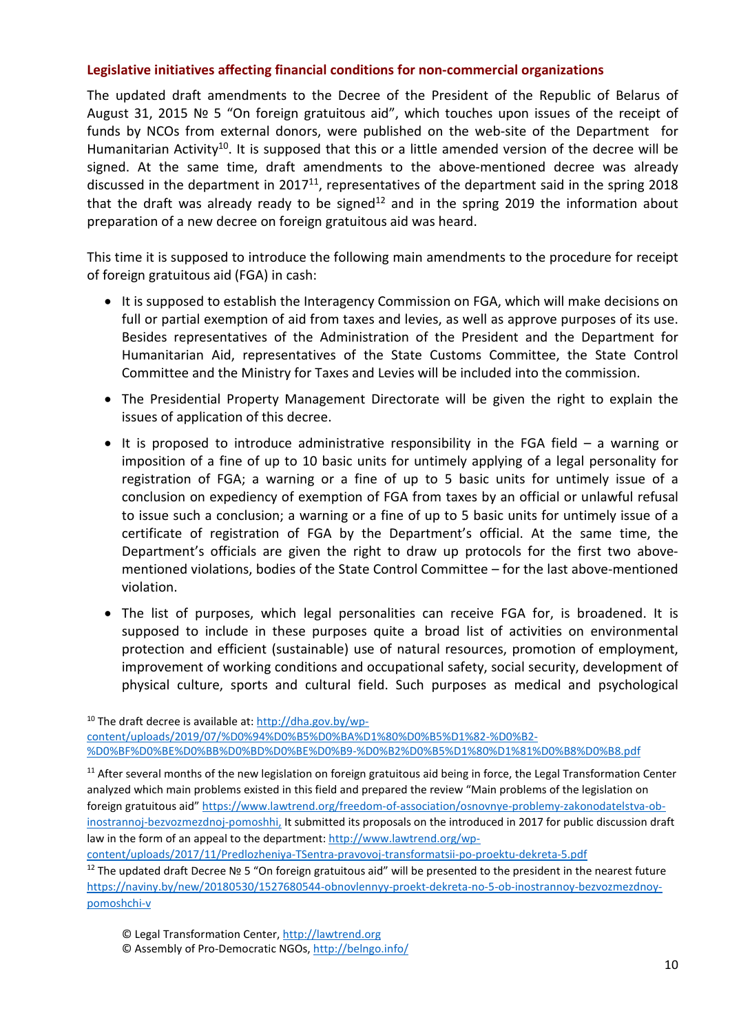### **Legislative initiatives affecting financial conditions for non-commercial organizations**

The updated draft amendments to the Decree of the President of the Republic of Belarus of August 31, 2015 № 5 "On foreign gratuitous aid", which touches upon issues of the receipt of funds by NCOs from external donors, were published on the web-site of the Department for Humanitarian Activity<sup>10</sup>. It is supposed that this or a little amended version of the decree will be signed. At the same time, draft amendments to the above-mentioned decree was already discussed in the department in 2017<sup>11</sup>, representatives of the department said in the spring 2018 that the draft was already ready to be signed<sup>12</sup> and in the spring 2019 the information about preparation of a new decree on foreign gratuitous aid was heard.

This time it is supposed to introduce the following main amendments to the procedure for receipt of foreign gratuitous aid (FGA) in cash:

- It is supposed to establish the Interagency Commission on FGA, which will make decisions on full or partial exemption of aid from taxes and levies, as well as approve purposes of its use. Besides representatives of the Administration of the President and the Department for Humanitarian Aid, representatives of the State Customs Committee, the State Control Committee and the Ministry for Taxes and Levies will be included into the commission.
- The Presidential Property Management Directorate will be given the right to explain the issues of application of this decree.
- It is proposed to introduce administrative responsibility in the FGA field  $-$  a warning or imposition of a fine of up to 10 basic units for untimely applying of a legal personality for registration of FGA; a warning or a fine of up to 5 basic units for untimely issue of a conclusion on expediency of exemption of FGA from taxes by an official or unlawful refusal to issue such a conclusion; a warning or a fine of up to 5 basic units for untimely issue of a certificate of registration of FGA by the Department's official. At the same time, the Department's officials are given the right to draw up protocols for the first two abovementioned violations, bodies of the State Control Committee – for the last above-mentioned violation.
- The list of purposes, which legal personalities can receive FGA for, is broadened. It is supposed to include in these purposes quite a broad list of activities on environmental protection and efficient (sustainable) use of natural resources, promotion of employment, improvement of working conditions and occupational safety, social security, development of physical culture, sports and cultural field. Such purposes as medical and psychological

10 The draft decree is available at: http://dha.gov.by/wpcontent/uploads/2019/07/%D0%94%D0%B5%D0%BA%D1%80%D0%B5%D1%82-%D0%B2- %D0%BF%D0%BE%D0%BB%D0%BD%D0%BE%D0%B9-%D0%B2%D0%B5%D1%80%D1%81%D0%B8%D0%B8.pdf

content/uploads/2017/11/Predlozheniya-TSentra-pravovoj-transformatsii-po-proektu-dekreta-5.pdf

<sup>12</sup> The updated draft Decree № 5 "On foreign gratuitous aid" will be presented to the president in the nearest future https://naviny.by/new/20180530/1527680544-obnovlennyy-proekt-dekreta-no-5-ob-inostrannoy-bezvozmezdnoypomoshchi-v

- © Legal Transformation Center, http://lawtrend.org
- © Assembly of Pro-Democratic NGOs, http://belngo.info/

 $11$  After several months of the new legislation on foreign gratuitous aid being in force, the Legal Transformation Center analyzed which main problems existed in this field and prepared the review "Main problems of the legislation on foreign gratuitous aid" https://www.lawtrend.org/freedom-of-association/osnovnye-problemy-zakonodatelstva-obinostrannoj-bezvozmezdnoj-pomoshhi, It submitted its proposals on the introduced in 2017 for public discussion draft law in the form of an appeal to the department: http://www.lawtrend.org/wp-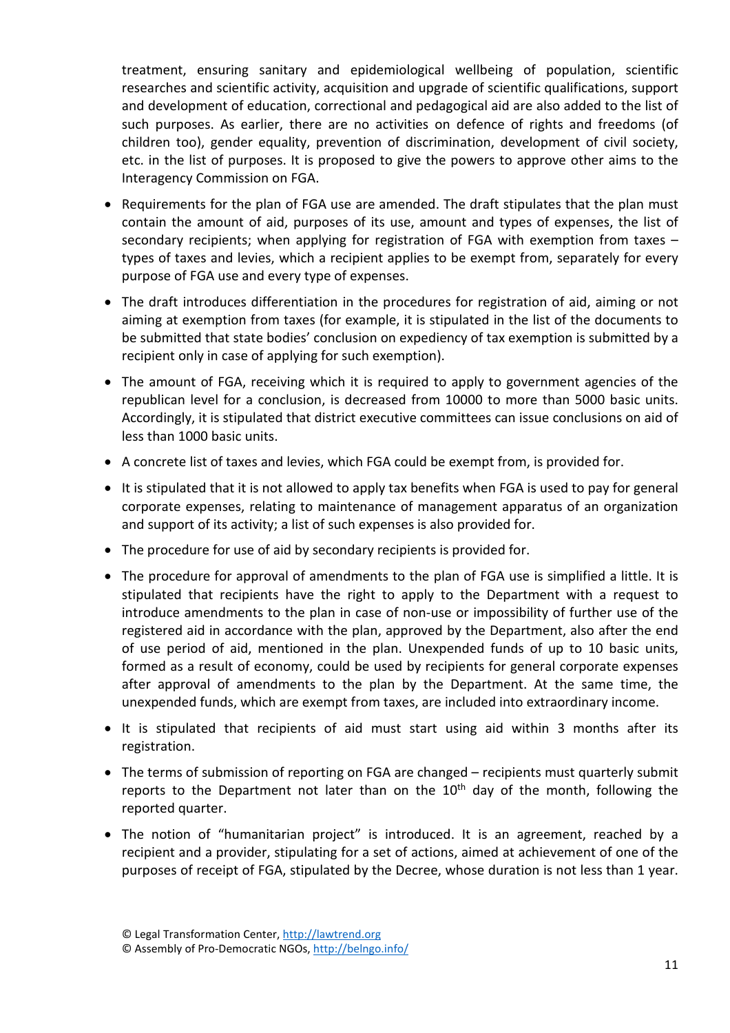treatment, ensuring sanitary and epidemiological wellbeing of population, scientific researches and scientific activity, acquisition and upgrade of scientific qualifications, support and development of education, correctional and pedagogical aid are also added to the list of such purposes. As earlier, there are no activities on defence of rights and freedoms (of children too), gender equality, prevention of discrimination, development of civil society, etc. in the list of purposes. It is proposed to give the powers to approve other aims to the Interagency Commission on FGA.

- Requirements for the plan of FGA use are amended. The draft stipulates that the plan must contain the amount of aid, purposes of its use, amount and types of expenses, the list of secondary recipients; when applying for registration of FGA with exemption from taxes – types of taxes and levies, which a recipient applies to be exempt from, separately for every purpose of FGA use and every type of expenses.
- The draft introduces differentiation in the procedures for registration of aid, aiming or not aiming at exemption from taxes (for example, it is stipulated in the list of the documents to be submitted that state bodies' conclusion on expediency of tax exemption is submitted by a recipient only in case of applying for such exemption).
- The amount of FGA, receiving which it is required to apply to government agencies of the republican level for a conclusion, is decreased from 10000 to more than 5000 basic units. Accordingly, it is stipulated that district executive committees can issue conclusions on aid of less than 1000 basic units.
- A concrete list of taxes and levies, which FGA could be exempt from, is provided for.
- It is stipulated that it is not allowed to apply tax benefits when FGA is used to pay for general corporate expenses, relating to maintenance of management apparatus of an organization and support of its activity; a list of such expenses is also provided for.
- The procedure for use of aid by secondary recipients is provided for.
- The procedure for approval of amendments to the plan of FGA use is simplified a little. It is stipulated that recipients have the right to apply to the Department with a request to introduce amendments to the plan in case of non-use or impossibility of further use of the registered aid in accordance with the plan, approved by the Department, also after the end of use period of aid, mentioned in the plan. Unexpended funds of up to 10 basic units, formed as a result of economy, could be used by recipients for general corporate expenses after approval of amendments to the plan by the Department. At the same time, the unexpended funds, which are exempt from taxes, are included into extraordinary income.
- It is stipulated that recipients of aid must start using aid within 3 months after its registration.
- The terms of submission of reporting on FGA are changed recipients must quarterly submit reports to the Department not later than on the  $10<sup>th</sup>$  day of the month, following the reported quarter.
- The notion of "humanitarian project" is introduced. It is an agreement, reached by a recipient and a provider, stipulating for a set of actions, aimed at achievement of one of the purposes of receipt of FGA, stipulated by the Decree, whose duration is not less than 1 year.

<sup>©</sup> Legal Transformation Center, http://lawtrend.org

<sup>©</sup> Assembly of Pro-Democratic NGOs, http://belngo.info/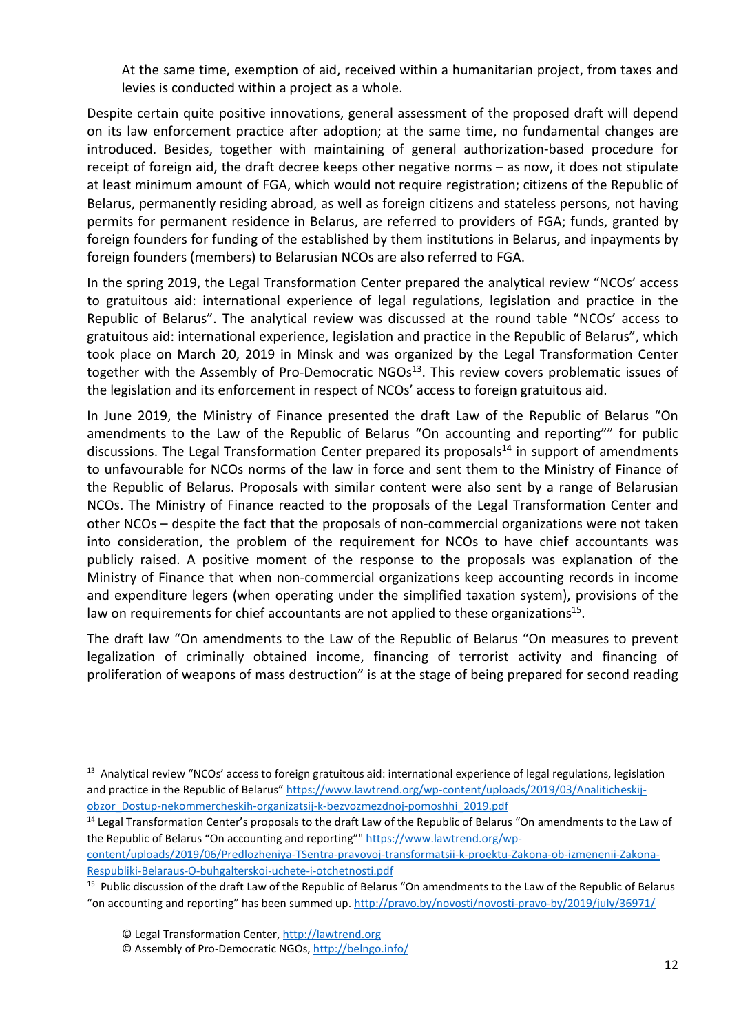At the same time, exemption of aid, received within a humanitarian project, from taxes and levies is conducted within a project as a whole.

Despite certain quite positive innovations, general assessment of the proposed draft will depend on its law enforcement practice after adoption; at the same time, no fundamental changes are introduced. Besides, together with maintaining of general authorization-based procedure for receipt of foreign aid, the draft decree keeps other negative norms – as now, it does not stipulate at least minimum amount of FGA, which would not require registration; citizens of the Republic of Belarus, permanently residing abroad, as well as foreign citizens and stateless persons, not having permits for permanent residence in Belarus, are referred to providers of FGA; funds, granted by foreign founders for funding of the established by them institutions in Belarus, and inpayments by foreign founders (members) to Belarusian NCOs are also referred to FGA.

In the spring 2019, the Legal Transformation Center prepared the analytical review "NCOs' access to gratuitous aid: international experience of legal regulations, legislation and practice in the Republic of Belarus". The analytical review was discussed at the round table "NCOs' access to gratuitous aid: international experience, legislation and practice in the Republic of Belarus", which took place on March 20, 2019 in Minsk and was organized by the Legal Transformation Center together with the Assembly of Pro-Democratic NGOs<sup>13</sup>. This review covers problematic issues of the legislation and its enforcement in respect of NCOs' access to foreign gratuitous aid.

In June 2019, the Ministry of Finance presented the draft Law of the Republic of Belarus "On amendments to the Law of the Republic of Belarus "On accounting and reporting"" for public discussions. The Legal Transformation Center prepared its proposals $<sup>14</sup>$  in support of amendments</sup> to unfavourable for NCOs norms of the law in force and sent them to the Ministry of Finance of the Republic of Belarus. Proposals with similar content were also sent by a range of Belarusian NCOs. The Ministry of Finance reacted to the proposals of the Legal Transformation Center and other NCOs – despite the fact that the proposals of non-commercial organizations were not taken into consideration, the problem of the requirement for NCOs to have chief accountants was publicly raised. A positive moment of the response to the proposals was explanation of the Ministry of Finance that when non-commercial organizations keep accounting records in income and expenditure legers (when operating under the simplified taxation system), provisions of the law on requirements for chief accountants are not applied to these organizations $<sup>15</sup>$ .</sup>

The draft law "On amendments to the Law of the Republic of Belarus "On measures to prevent legalization of criminally obtained income, financing of terrorist activity and financing of proliferation of weapons of mass destruction" is at the stage of being prepared for second reading

content/uploads/2019/06/Predlozheniya-TSentra-pravovoj-transformatsii-k-proektu-Zakona-ob-izmenenii-Zakona-Respubliki-Belaraus-O-buhgalterskoi-uchete-i-otchetnosti.pdf

<sup>15</sup> Public discussion of the draft Law of the Republic of Belarus "On amendments to the Law of the Republic of Belarus "on accounting and reporting" has been summed up. http://pravo.by/novosti/novosti-pravo-by/2019/july/36971/

<sup>&</sup>lt;sup>13</sup> Analytical review "NCOs' access to foreign gratuitous aid: international experience of legal regulations, legislation and practice in the Republic of Belarus" https://www.lawtrend.org/wp-content/uploads/2019/03/Analiticheskijobzor\_Dostup-nekommercheskih-organizatsij-k-bezvozmezdnoj-pomoshhi\_2019.pdf

<sup>&</sup>lt;sup>14</sup> Legal Transformation Center's proposals to the draft Law of the Republic of Belarus "On amendments to the Law of the Republic of Belarus "On accounting and reporting"" https://www.lawtrend.org/wp-

<sup>©</sup> Assembly of Pro-Democratic NGOs, http://belngo.info/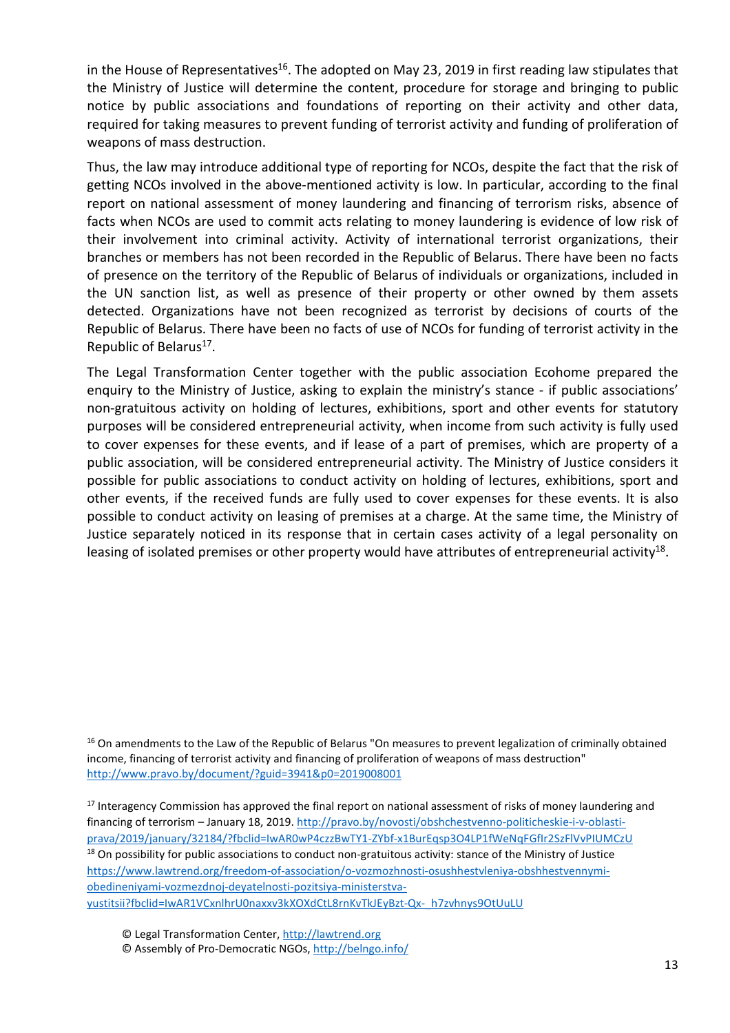in the House of Representatives<sup>16</sup>. The adopted on May 23, 2019 in first reading law stipulates that the Ministry of Justice will determine the content, procedure for storage and bringing to public notice by public associations and foundations of reporting on their activity and other data, required for taking measures to prevent funding of terrorist activity and funding of proliferation of weapons of mass destruction.

Thus, the law may introduce additional type of reporting for NCOs, despite the fact that the risk of getting NCOs involved in the above-mentioned activity is low. In particular, according to the final report on national assessment of money laundering and financing of terrorism risks, absence of facts when NCOs are used to commit acts relating to money laundering is evidence of low risk of their involvement into criminal activity. Activity of international terrorist organizations, their branches or members has not been recorded in the Republic of Belarus. There have been no facts of presence on the territory of the Republic of Belarus of individuals or organizations, included in the UN sanction list, as well as presence of their property or other owned by them assets detected. Organizations have not been recognized as terrorist by decisions of courts of the Republic of Belarus. There have been no facts of use of NCOs for funding of terrorist activity in the Republic of Belarus<sup>17</sup>.

The Legal Transformation Center together with the public association Ecohome prepared the enquiry to the Ministry of Justice, asking to explain the ministry's stance - if public associations' non-gratuitous activity on holding of lectures, exhibitions, sport and other events for statutory purposes will be considered entrepreneurial activity, when income from such activity is fully used to cover expenses for these events, and if lease of a part of premises, which are property of a public association, will be considered entrepreneurial activity. The Ministry of Justice considers it possible for public associations to conduct activity on holding of lectures, exhibitions, sport and other events, if the received funds are fully used to cover expenses for these events. It is also possible to conduct activity on leasing of premises at a charge. At the same time, the Ministry of Justice separately noticed in its response that in certain cases activity of a legal personality on leasing of isolated premises or other property would have attributes of entrepreneurial activity<sup>18</sup>.

<sup>16</sup> On amendments to the Law of the Republic of Belarus "On measures to prevent legalization of criminally obtained income, financing of terrorist activity and financing of proliferation of weapons of mass destruction" http://www.pravo.by/document/?guid=3941&p0=2019008001

<sup>17</sup> Interagency Commission has approved the final report on national assessment of risks of money laundering and financing of terrorism – January 18, 2019. http://pravo.by/novosti/obshchestvenno-politicheskie-i-v-oblastiprava/2019/january/32184/?fbclid=IwAR0wP4czzBwTY1-ZYbf-x1BurEqsp3O4LP1fWeNqFGfIr2SzFlVvPIUMCzU <sup>18</sup> On possibility for public associations to conduct non-gratuitous activity: stance of the Ministry of Justice https://www.lawtrend.org/freedom-of-association/o-vozmozhnosti-osushhestvleniya-obshhestvennymiobedineniyami-vozmezdnoj-deyatelnosti-pozitsiya-ministerstvayustitsii?fbclid=IwAR1VCxnlhrU0naxxv3kXOXdCtL8rnKvTkJEyBzt-Qx-\_h7zvhnys9OtUuLU

- © Legal Transformation Center, http://lawtrend.org
- © Assembly of Pro-Democratic NGOs, http://belngo.info/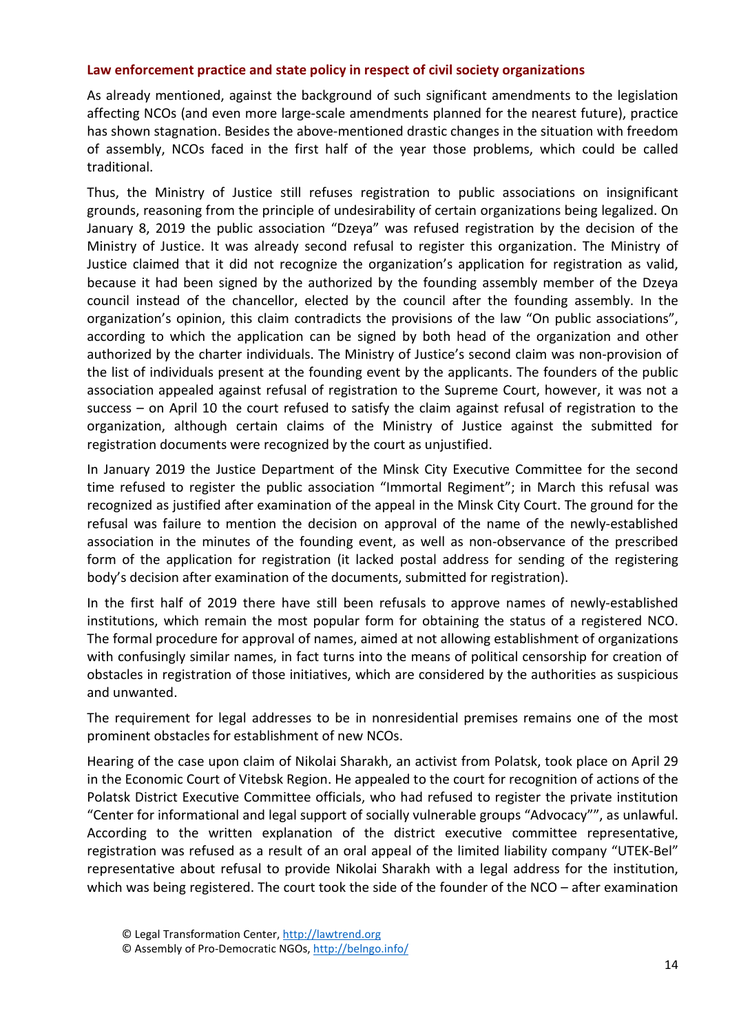### **Law enforcement practice and state policy in respect of civil society organizations**

As already mentioned, against the background of such significant amendments to the legislation affecting NCOs (and even more large-scale amendments planned for the nearest future), practice has shown stagnation. Besides the above-mentioned drastic changes in the situation with freedom of assembly, NCOs faced in the first half of the year those problems, which could be called traditional.

Thus, the Ministry of Justice still refuses registration to public associations on insignificant grounds, reasoning from the principle of undesirability of certain organizations being legalized. On January 8, 2019 the public association "Dzeya" was refused registration by the decision of the Ministry of Justice. It was already second refusal to register this organization. The Ministry of Justice claimed that it did not recognize the organization's application for registration as valid, because it had been signed by the authorized by the founding assembly member of the Dzeya council instead of the chancellor, elected by the council after the founding assembly. In the organization's opinion, this claim contradicts the provisions of the law "On public associations", according to which the application can be signed by both head of the organization and other authorized by the charter individuals. The Ministry of Justice's second claim was non-provision of the list of individuals present at the founding event by the applicants. The founders of the public association appealed against refusal of registration to the Supreme Court, however, it was not a success – on April 10 the court refused to satisfy the claim against refusal of registration to the organization, although certain claims of the Ministry of Justice against the submitted for registration documents were recognized by the court as unjustified.

In January 2019 the Justice Department of the Minsk City Executive Committee for the second time refused to register the public association "Immortal Regiment"; in March this refusal was recognized as justified after examination of the appeal in the Minsk City Court. The ground for the refusal was failure to mention the decision on approval of the name of the newly-established association in the minutes of the founding event, as well as non-observance of the prescribed form of the application for registration (it lacked postal address for sending of the registering body's decision after examination of the documents, submitted for registration).

In the first half of 2019 there have still been refusals to approve names of newly-established institutions, which remain the most popular form for obtaining the status of a registered NCO. The formal procedure for approval of names, aimed at not allowing establishment of organizations with confusingly similar names, in fact turns into the means of political censorship for creation of obstacles in registration of those initiatives, which are considered by the authorities as suspicious and unwanted.

The requirement for legal addresses to be in nonresidential premises remains one of the most prominent obstacles for establishment of new NCOs.

Hearing of the case upon claim of Nikolai Sharakh, an activist from Polatsk, took place on April 29 in the Economic Court of Vitebsk Region. He appealed to the court for recognition of actions of the Polatsk District Executive Committee officials, who had refused to register the private institution "Center for informational and legal support of socially vulnerable groups "Advocacy"", as unlawful. According to the written explanation of the district executive committee representative, registration was refused as a result of an oral appeal of the limited liability company "UTEK-Bel" representative about refusal to provide Nikolai Sharakh with a legal address for the institution, which was being registered. The court took the side of the founder of the NCO - after examination

<sup>©</sup> Legal Transformation Center, http://lawtrend.org

<sup>©</sup> Assembly of Pro-Democratic NGOs, http://belngo.info/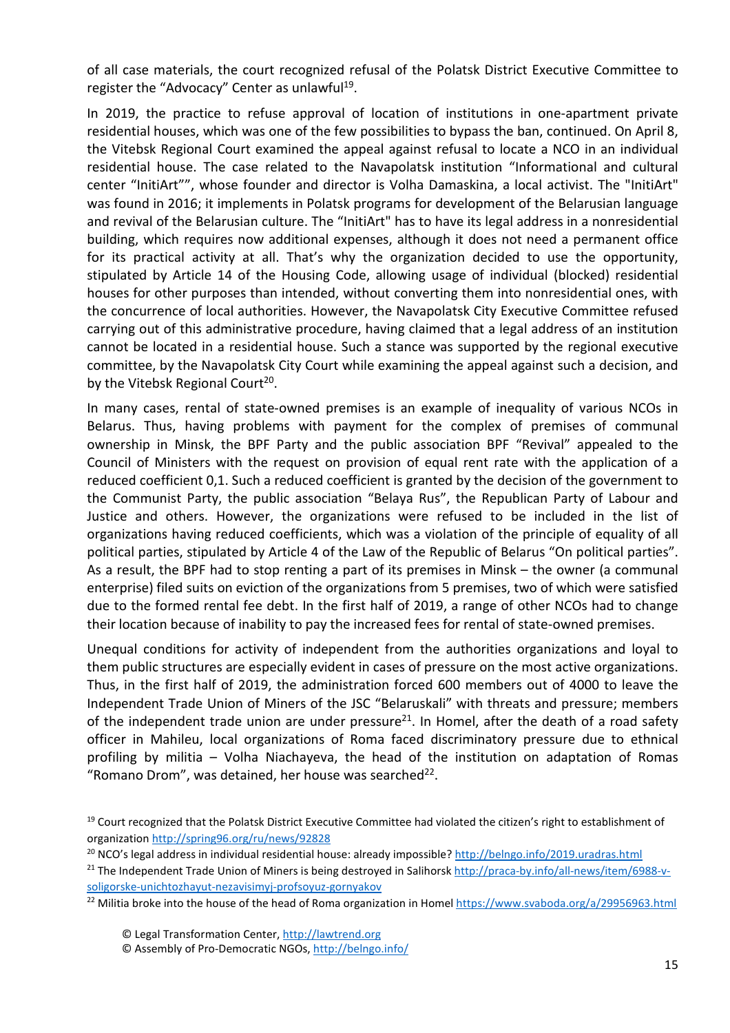of all case materials, the court recognized refusal of the Polatsk District Executive Committee to register the "Advocacy" Center as unlawful<sup>19</sup>.

In 2019, the practice to refuse approval of location of institutions in one-apartment private residential houses, which was one of the few possibilities to bypass the ban, continued. On April 8, the Vitebsk Regional Court examined the appeal against refusal to locate a NCO in an individual residential house. The case related to the Navapolatsk institution "Informational and cultural center "InitiArt"", whose founder and director is Volha Damaskina, a local activist. The "InitiArt" was found in 2016; it implements in Polatsk programs for development of the Belarusian language and revival of the Belarusian culture. The "InitiArt" has to have its legal address in a nonresidential building, which requires now additional expenses, although it does not need a permanent office for its practical activity at all. That's why the organization decided to use the opportunity, stipulated by Article 14 of the Housing Code, allowing usage of individual (blocked) residential houses for other purposes than intended, without converting them into nonresidential ones, with the concurrence of local authorities. However, the Navapolatsk City Executive Committee refused carrying out of this administrative procedure, having claimed that a legal address of an institution cannot be located in a residential house. Such a stance was supported by the regional executive committee, by the Navapolatsk City Court while examining the appeal against such a decision, and by the Vitebsk Regional Court<sup>20</sup>.

In many cases, rental of state-owned premises is an example of inequality of various NCOs in Belarus. Thus, having problems with payment for the complex of premises of communal ownership in Minsk, the BPF Party and the public association BPF "Revival" appealed to the Council of Ministers with the request on provision of equal rent rate with the application of a reduced coefficient 0,1. Such a reduced coefficient is granted by the decision of the government to the Communist Party, the public association "Belaya Rus", the Republican Party of Labour and Justice and others. However, the organizations were refused to be included in the list of organizations having reduced coefficients, which was a violation of the principle of equality of all political parties, stipulated by Article 4 of the Law of the Republic of Belarus "On political parties". As a result, the BPF had to stop renting a part of its premises in Minsk – the owner (a communal enterprise) filed suits on eviction of the organizations from 5 premises, two of which were satisfied due to the formed rental fee debt. In the first half of 2019, a range of other NCOs had to change their location because of inability to pay the increased fees for rental of state-owned premises.

Unequal conditions for activity of independent from the authorities organizations and loyal to them public structures are especially evident in cases of pressure on the most active organizations. Thus, in the first half of 2019, the administration forced 600 members out of 4000 to leave the Independent Trade Union of Miners of the JSC "Belaruskali" with threats and pressure; members of the independent trade union are under pressure<sup>21</sup>. In Homel, after the death of a road safety officer in Mahileu, local organizations of Roma faced discriminatory pressure due to ethnical profiling by militia – Volha Niachayeva, the head of the institution on adaptation of Romas "Romano Drom", was detained, her house was searched $^{22}$ .

<sup>&</sup>lt;sup>19</sup> Court recognized that the Polatsk District Executive Committee had violated the citizen's right to establishment of organization http://spring96.org/ru/news/92828

<sup>&</sup>lt;sup>20</sup> NCO's legal address in individual residential house: already impossible? http://belngo.info/2019.uradras.html

<sup>&</sup>lt;sup>21</sup> The Independent Trade Union of Miners is being destroyed in Salihorsk http://praca-by.info/all-news/item/6988-vsoligorske-unichtozhayut-nezavisimyj-profsoyuz-gornyakov

<sup>&</sup>lt;sup>22</sup> Militia broke into the house of the head of Roma organization in Homel https://www.svaboda.org/a/29956963.html

<sup>©</sup> Legal Transformation Center, http://lawtrend.org

<sup>©</sup> Assembly of Pro-Democratic NGOs, http://belngo.info/